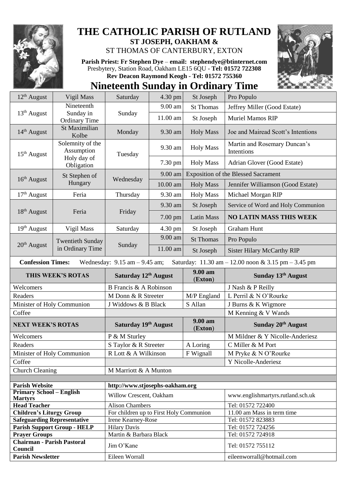

## **THE CATHOLIC PARISH OF RUTLAND ST JOSEPH, OAKHAM &**  ST THOMAS OF CANTERBURY, EXTON

**Parish Priest: Fr Stephen Dye** – **[email: stephendye@btinternet.com](mailto:email:%20%20stephendye@btinternet.com)** Presbytery, Station Road, Oakham LE15 6QU - **Tel: 01572 722308 Rev Deacon Raymond Keogh - Tel: 01572 755360**



## **Nineteenth Sunday in Ordinary Time**

| $12th$ August                                                                                                                                           | Vigil Mass                                                  | Saturday                                  | $4.30$ pm | St Joseph          | Pro Populo                                 |  |
|---------------------------------------------------------------------------------------------------------------------------------------------------------|-------------------------------------------------------------|-------------------------------------------|-----------|--------------------|--------------------------------------------|--|
| Nineteenth<br>$13th$ August<br>Sunday in                                                                                                                |                                                             | Sunday                                    | 9.00 am   | <b>St Thomas</b>   | Jeffrey Miller (Good Estate)               |  |
|                                                                                                                                                         | <b>Ordinary Time</b>                                        |                                           | 11.00 am  | St Joseph          | Muriel Mamos RIP                           |  |
| $14th$ August                                                                                                                                           | St Maximilian<br>Kolbe                                      | Monday                                    | 9.30 am   | <b>Holy Mass</b>   | Joe and Mairead Scott's Intentions         |  |
| $15th$ August                                                                                                                                           | Solemnity of the<br>Assumption<br>Holy day of<br>Obligation | Tuesday                                   | 9.30 am   | <b>Holy Mass</b>   | Martin and Rosemary Duncan's<br>Intentions |  |
|                                                                                                                                                         |                                                             |                                           | 7.30 pm   | <b>Holy Mass</b>   | Adrian Glover (Good Estate)                |  |
| 16 <sup>th</sup> August                                                                                                                                 | St Stephen of<br>Hungary                                    | Wednesday                                 | $9.00$ am |                    | <b>Exposition of the Blessed Sacrament</b> |  |
|                                                                                                                                                         |                                                             |                                           | 10.00 am  | <b>Holy Mass</b>   | Jennifer Williamson (Good Estate)          |  |
| $17th$ August                                                                                                                                           | Feria                                                       | Thursday                                  | 9.30 am   | <b>Holy Mass</b>   | Michael Morgan RIP                         |  |
|                                                                                                                                                         | Feria                                                       | Friday                                    | 9.30 am   | St Joseph          | Service of Word and Holy Communion         |  |
| 18 <sup>th</sup> August                                                                                                                                 |                                                             |                                           | 7.00 pm   | <b>Latin Mass</b>  | <b>NO LATIN MASS THIS WEEK</b>             |  |
| 19th August                                                                                                                                             | Vigil Mass                                                  | Saturday                                  | 4.30 pm   | St Joseph          | <b>Graham Hunt</b>                         |  |
| $20th$ August                                                                                                                                           | <b>Twentieth Sunday</b><br>in Ordinary Time                 | Sunday                                    | 9.00 am   | <b>St Thomas</b>   | Pro Populo                                 |  |
|                                                                                                                                                         |                                                             |                                           | 11.00 am  | St Joseph          | <b>Sister Hilary McCarthy RIP</b>          |  |
| <b>Confession Times:</b><br>Wednesday: $9.15$ am $- 9.45$ am;<br>Saturday: $11.30 \text{ am} - 12.00 \text{ noon} \& 3.15 \text{ pm} - 3.45 \text{ pm}$ |                                                             |                                           |           |                    |                                            |  |
| THIS WEEK'S ROTAS                                                                                                                                       |                                                             | Saturday 12th August                      |           | 9.00 am<br>(Exton) | Sunday 13 <sup>th</sup> August             |  |
| Welcomers                                                                                                                                               |                                                             | B Francis & A Robinson                    |           |                    | J Nash & P Reilly                          |  |
| Readers                                                                                                                                                 |                                                             | M Donn & R Streeter                       |           | M/P England        | L Perril & N O'Rourke                      |  |
| Minister of Holy Communion                                                                                                                              |                                                             | J Widdows & B Black                       |           | S Allan            | J Burns & K Wigmore                        |  |
| Coffee                                                                                                                                                  |                                                             |                                           |           |                    | M Kenning & V Wands                        |  |
| <b>NEXT WEEK'S ROTAS</b>                                                                                                                                |                                                             | Saturday 19th August                      |           | 9.00 am<br>(Exton) | Sunday 20th August                         |  |
| Welcomers                                                                                                                                               |                                                             | P & M Sturley                             |           |                    | M Mildner & Y Nicolle-Anderiesz            |  |
| Readers                                                                                                                                                 |                                                             | S Taylor & R Streeter                     |           | A Loring           | C Miller & M Port                          |  |
| Minister of Holy Communion                                                                                                                              |                                                             | R Lott & A Wilkinson                      |           | F Wignall          | M Pryke & N O'Rourke                       |  |
| Coffee                                                                                                                                                  |                                                             |                                           |           |                    | Y Nicolle-Anderiesz                        |  |
| <b>Church Cleaning</b>                                                                                                                                  |                                                             | M Marriott & A Munton                     |           |                    |                                            |  |
|                                                                                                                                                         |                                                             |                                           |           |                    |                                            |  |
| <b>Parish Website</b>                                                                                                                                   |                                                             | http://www.stjosephs-oakham.org           |           |                    |                                            |  |
| <b>Primary School - English</b><br><b>Martyrs</b>                                                                                                       |                                                             | Willow Crescent, Oakham                   |           |                    | www.englishmartyrs.rutland.sch.uk          |  |
| <b>Head Teacher</b>                                                                                                                                     |                                                             | <b>Alison Chambers</b>                    |           |                    | Tel: 01572 722400                          |  |
| <b>Children's Liturgy Group</b>                                                                                                                         |                                                             | For children up to First Holy Communion   |           |                    | 11.00 am Mass in term time                 |  |
| <b>Safeguarding Representative</b>                                                                                                                      |                                                             | Irene Kearney-Rose<br><b>Hilary Davis</b> |           |                    | Tel: 01572 823883<br>Tel: 01572 724256     |  |
| <b>Parish Support Group - HELP</b><br><b>Prayer Groups</b>                                                                                              |                                                             | Martin & Barbara Black                    |           |                    | Tel: 01572 724918                          |  |
| <b>Chairman - Parish Pastoral</b><br>Council                                                                                                            |                                                             | Jim O'Kane                                |           |                    |                                            |  |
| <b>Parish Newsletter</b>                                                                                                                                |                                                             |                                           |           |                    | Tel: 01572 755112                          |  |